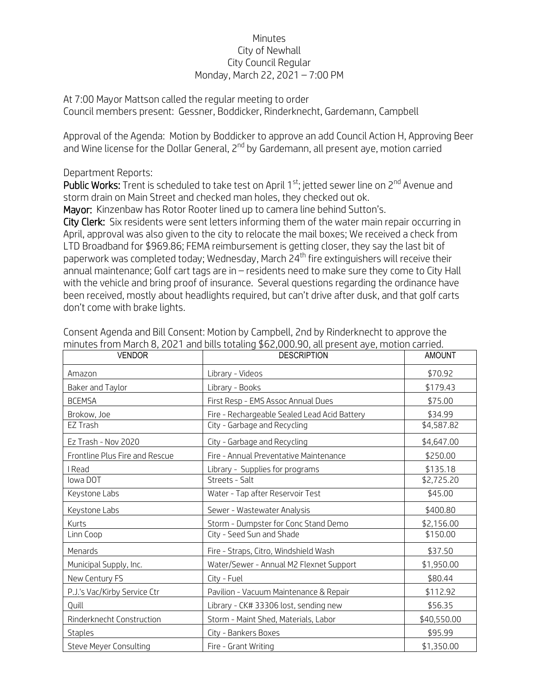## Minutes City of Newhall City Council Regular Monday, March 22, 2021 – 7:00 PM

At 7:00 Mayor Mattson called the regular meeting to order Council members present: Gessner, Boddicker, Rinderknecht, Gardemann, Campbell

Approval of the Agenda: Motion by Boddicker to approve an add Council Action H, Approving Beer and Wine license for the Dollar General, 2<sup>nd</sup> by Gardemann, all present aye, motion carried

## Department Reports:

**Public Works:** Trent is scheduled to take test on April 1<sup>st</sup>; jetted sewer line on  $2^{nd}$  Avenue and storm drain on Main Street and checked man holes, they checked out ok.

Mayor: Kinzenbaw has Rotor Rooter lined up to camera line behind Sutton's.

City Clerk: Six residents were sent letters informing them of the water main repair occurring in April, approval was also given to the city to relocate the mail boxes; We received a check from LTD Broadband for \$969.86; FEMA reimbursement is getting closer, they say the last bit of paperwork was completed today; Wednesday, March 24<sup>th</sup> fire extinguishers will receive their annual maintenance; Golf cart tags are in – residents need to make sure they come to City Hall with the vehicle and bring proof of insurance. Several questions regarding the ordinance have been received, mostly about headlights required, but can't drive after dusk, and that golf carts don't come with brake lights.

| <b>VENDOR</b>                  | <b>DESCRIPTION</b>                           | <b>AMOUNT</b> |
|--------------------------------|----------------------------------------------|---------------|
| Amazon                         | Library - Videos                             | \$70.92       |
| Baker and Taylor               | Library - Books                              | \$179.43      |
| <b>BCEMSA</b>                  | First Resp - EMS Assoc Annual Dues           | \$75.00       |
| Brokow, Joe                    | Fire - Rechargeable Sealed Lead Acid Battery | \$34.99       |
| EZ Trash                       | City - Garbage and Recycling                 | \$4,587.82    |
| Ez Trash - Nov 2020            | City - Garbage and Recycling                 | \$4,647.00    |
| Frontline Plus Fire and Rescue | Fire - Annual Preventative Maintenance       | \$250.00      |
| Read                           | Library - Supplies for programs              | \$135.18      |
| lowa DOT                       | Streets - Salt                               | \$2,725.20    |
| Keystone Labs                  | Water - Tap after Reservoir Test             | \$45.00       |
| Keystone Labs                  | Sewer - Wastewater Analysis                  | \$400.80      |
| Kurts                          | Storm - Dumpster for Conc Stand Demo         | \$2,156.00    |
| Linn Coop                      | City - Seed Sun and Shade                    | \$150.00      |
| Menards                        | Fire - Straps, Citro, Windshield Wash        | \$37.50       |
| Municipal Supply, Inc.         | Water/Sewer - Annual M2 Flexnet Support      | \$1,950.00    |
| New Century FS                 | City - Fuel                                  | \$80.44       |
| P.J.'s Vac/Kirby Service Ctr   | Pavilion - Vacuum Maintenance & Repair       | \$112.92      |
| Quill                          | Library - CK# 33306 lost, sending new        | \$56.35       |
| Rinderknecht Construction      | Storm - Maint Shed, Materials, Labor         | \$40,550.00   |
| <b>Staples</b>                 | City - Bankers Boxes                         | \$95.99       |
| Steve Meyer Consulting         | Fire - Grant Writing                         | \$1,350.00    |

Consent Agenda and Bill Consent: Motion by Campbell, 2nd by Rinderknecht to approve the minutes from March 8, 2021 and bills totaling \$62,000.90, all present aye, motion carried.